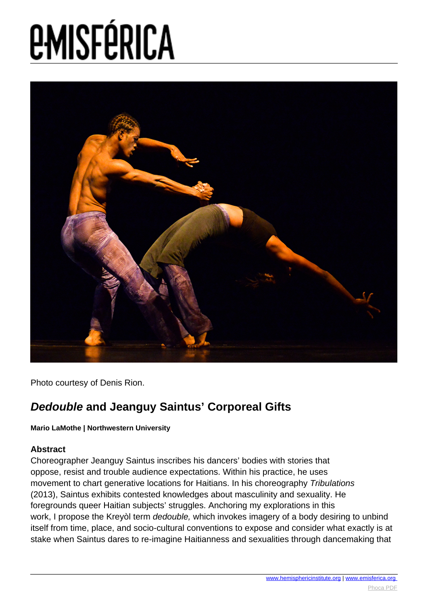

Photo courtesy of Denis Rion.

#### **Dedouble and Jeanguy Saintus' Corporeal Gifts**

#### **Mario LaMothe | Northwestern University**

#### **Abstract**

Choreographer Jeanguy Saintus inscribes his dancers' bodies with stories that oppose, resist and trouble audience expectations. Within his practice, he uses movement to chart generative locations for Haitians. In his choreography Tribulations (2013), Saintus exhibits contested knowledges about masculinity and sexuality. He foregrounds queer Haitian subjects' struggles. Anchoring my explorations in this work, I propose the Kreyòl term dedouble, which invokes imagery of a body desiring to unbind itself from time, place, and socio-cultural conventions to expose and consider what exactly is at stake when Saintus dares to re-imagine Haitianness and sexualities through dancemaking that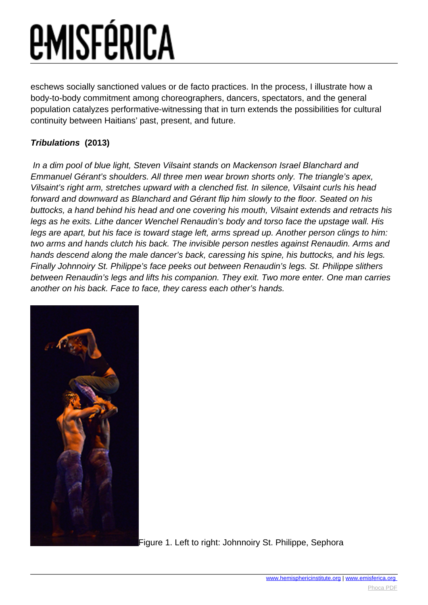eschews socially sanctioned values or de facto practices. In the process, I illustrate how a body-to-body commitment among choreographers, dancers, spectators, and the general population catalyzes performative-witnessing that in turn extends the possibilities for cultural continuity between Haitians' past, present, and future.

#### **Tribulations (2013)**

 In a dim pool of blue light, Steven Vilsaint stands on Mackenson Israel Blanchard and Emmanuel Gérant's shoulders. All three men wear brown shorts only. The triangle's apex, Vilsaint's right arm, stretches upward with a clenched fist. In silence, Vilsaint curls his head forward and downward as Blanchard and Gérant flip him slowly to the floor. Seated on his buttocks, a hand behind his head and one covering his mouth, Vilsaint extends and retracts his legs as he exits. Lithe dancer Wenchel Renaudin's body and torso face the upstage wall. His legs are apart, but his face is toward stage left, arms spread up. Another person clings to him: two arms and hands clutch his back. The invisible person nestles against Renaudin. Arms and hands descend along the male dancer's back, caressing his spine, his buttocks, and his legs. Finally Johnnoiry St. Philippe's face peeks out between Renaudin's legs. St. Philippe slithers between Renaudin's legs and lifts his companion. They exit. Two more enter. One man carries another on his back. Face to face, they caress each other's hands.



[F](images/e-misferica/11.2_images/112_lg_lamothe_02.jpg)igure 1. Left to right: Johnnoiry St. Philippe, Sephora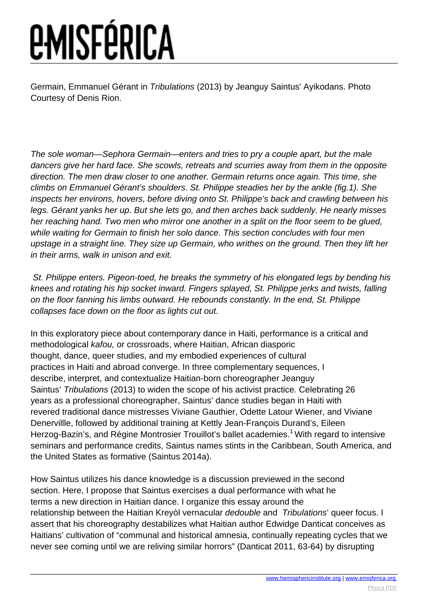Germain, Emmanuel Gérant in Tribulations (2013) by Jeanguy Saintus' Ayikodans. Photo Courtesy of Denis Rion.

The sole woman—Sephora Germain—enters and tries to pry a couple apart, but the male dancers give her hard face. She scowls, retreats and scurries away from them in the opposite direction. The men draw closer to one another. Germain returns once again. This time, she climbs on Emmanuel Gérant's shoulders. St. Philippe steadies her by the ankle (fig.1). She inspects her environs, hovers, before diving onto St. Philippe's back and crawling between his legs. Gérant yanks her up. But she lets go, and then arches back suddenly. He nearly misses her reaching hand. Two men who mirror one another in a split on the floor seem to be glued, while waiting for Germain to finish her solo dance. This section concludes with four men upstage in a straight line. They size up Germain, who writhes on the ground. Then they lift her in their arms, walk in unison and exit.

 St. Philippe enters. Pigeon-toed, he breaks the symmetry of his elongated legs by bending his knees and rotating his hip socket inward. Fingers splayed, St. Philippe jerks and twists, falling on the floor fanning his limbs outward. He rebounds constantly. In the end, St. Philippe collapses face down on the floor as lights cut out.

In this exploratory piece about contemporary dance in Haiti, performance is a critical and methodological kafou, or crossroads, where Haitian, African diasporic thought, dance, queer studies, and my embodied experiences of cultural practices in Haiti and abroad converge. In three complementary sequences, I describe, interpret, and contextualize Haitian-born choreographer Jeanguy Saintus' Tribulations (2013) to widen the scope of his activist practice. Celebrating 26 years as a professional choreographer, Saintus' dance studies began in Haiti with revered traditional dance mistresses Viviane Gauthier, Odette Latour Wiener, and Viviane Denervillle, followed by additional training at Kettly Jean-François Durand's, Eileen Herzog-Bazin's, and Régine Montrosier Trouillot's ballet academies.<sup>1</sup> With regard to intensive seminars and performance credits, Saintus names stints in the Caribbean, South America, and the United States as formative (Saintus 2014a).

How Saintus utilizes his dance knowledge is a discussion previewed in the second section. Here, I propose that Saintus exercises a dual performance with what he terms a new direction in Haitian dance. I organize this essay around the relationship between the Haitian Kreyòl vernacular dedouble and Tribulations' queer focus. I assert that his choreography destabilizes what Haitian author Edwidge Danticat conceives as Haitians' cultivation of "communal and historical amnesia, continually repeating cycles that we never see coming until we are reliving similar horrors" (Danticat 2011, 63-64) by disrupting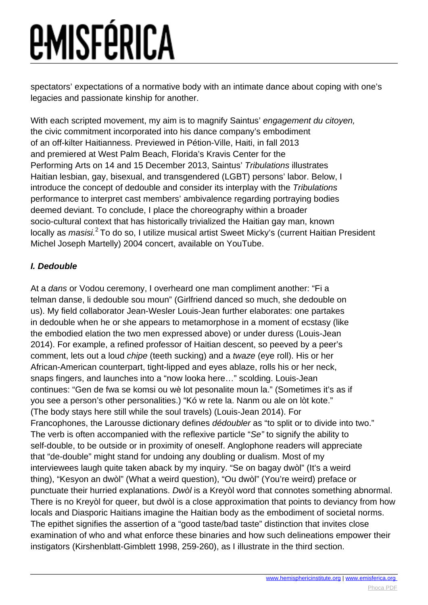spectators' expectations of a normative body with an intimate dance about coping with one's legacies and passionate kinship for another.

With each scripted movement, my aim is to magnify Saintus' engagement du citoyen, the civic commitment incorporated into his dance company's embodiment of an off-kilter Haitianness. Previewed in Pétion-Ville, Haiti, in fall 2013 and premiered at West Palm Beach, Florida's Kravis Center for the Performing Arts on 14 and 15 December 2013, Saintus' Tribulations illustrates Haitian lesbian, gay, bisexual, and transgendered (LGBT) persons' labor. Below, I introduce the concept of dedouble and consider its interplay with the Tribulations performance to interpret cast members' ambivalence regarding portraying bodies deemed deviant. To conclude, I place the choreography within a broader socio-cultural context that has historically trivialized the Haitian gay man, known locally as *masisi.*<sup>2</sup> To do so, I utilize musical artist Sweet Micky's (current Haitian President Michel Joseph Martelly) 2004 concert, available on YouTube.

#### **I. Dedouble**

At a dans or Vodou ceremony, I overheard one man compliment another: "Fi a telman danse, li dedouble sou moun" (Girlfriend danced so much, she dedouble on us). My field collaborator Jean-Wesler Louis-Jean further elaborates: one partakes in dedouble when he or she appears to metamorphose in a moment of ecstasy (like the embodied elation the two men expressed above) or under duress (Louis-Jean 2014). For example, a refined professor of Haitian descent, so peeved by a peer's comment, lets out a loud chipe (teeth sucking) and a twaze (eye roll). His or her African-American counterpart, tight-lipped and eyes ablaze, rolls his or her neck, snaps fingers, and launches into a "now looka here…" scolding. Louis-Jean continues: "Gen de fwa se komsi ou wè lot pesonalite moun la." (Sometimes it's as if you see a person's other personalities.) "Kó w rete la. Nanm ou ale on lòt kote." (The body stays here still while the soul travels) (Louis-Jean 2014). For Francophones, the Larousse dictionary defines dédoubler as "to split or to divide into two." The verb is often accompanied with the reflexive particle "Se" to signify the ability to self-double, to be outside or in proximity of oneself. Anglophone readers will appreciate that "de-double" might stand for undoing any doubling or dualism. Most of my interviewees laugh quite taken aback by my inquiry. "Se on bagay dwòl" (It's a weird thing), "Kesyon an dwòl" (What a weird question), "Ou dwòl" (You're weird) preface or punctuate their hurried explanations. Dwòl is a Kreyòl word that connotes something abnormal. There is no Kreyòl for queer, but dwòl is a close approximation that points to deviancy from how locals and Diasporic Haitians imagine the Haitian body as the embodiment of societal norms. The epithet signifies the assertion of a "good taste/bad taste" distinction that invites close examination of who and what enforce these binaries and how such delineations empower their instigators (Kirshenblatt-Gimblett 1998, 259-260), as I illustrate in the third section.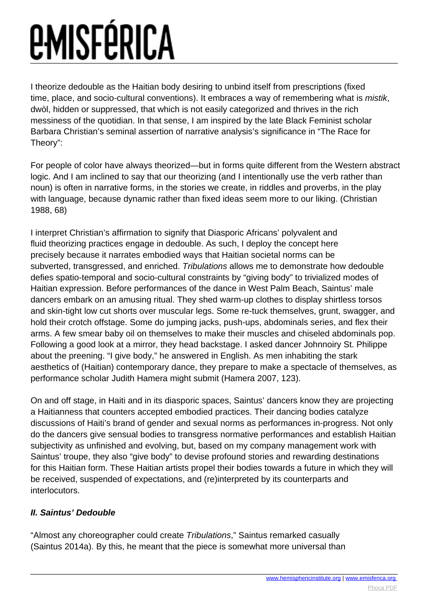I theorize dedouble as the Haitian body desiring to unbind itself from prescriptions (fixed time, place, and socio-cultural conventions). It embraces a way of remembering what is mistik, dwòl, hidden or suppressed, that which is not easily categorized and thrives in the rich messiness of the quotidian. In that sense, I am inspired by the late Black Feminist scholar Barbara Christian's seminal assertion of narrative analysis's significance in "The Race for Theory":

For people of color have always theorized—but in forms quite different from the Western abstract logic. And I am inclined to say that our theorizing (and I intentionally use the verb rather than noun) is often in narrative forms, in the stories we create, in riddles and proverbs, in the play with language, because dynamic rather than fixed ideas seem more to our liking. (Christian 1988, 68)

I interpret Christian's affirmation to signify that Diasporic Africans' polyvalent and fluid theorizing practices engage in dedouble. As such, I deploy the concept here precisely because it narrates embodied ways that Haitian societal norms can be subverted, transgressed, and enriched. Tribulations allows me to demonstrate how dedouble defies spatio-temporal and socio-cultural constraints by "giving body" to trivialized modes of Haitian expression. Before performances of the dance in West Palm Beach, Saintus' male dancers embark on an amusing ritual. They shed warm-up clothes to display shirtless torsos and skin-tight low cut shorts over muscular legs. Some re-tuck themselves, grunt, swagger, and hold their crotch offstage. Some do jumping jacks, push-ups, abdominals series, and flex their arms. A few smear baby oil on themselves to make their muscles and chiseled abdominals pop. Following a good look at a mirror, they head backstage. I asked dancer Johnnoiry St. Philippe about the preening. "I give body," he answered in English. As men inhabiting the stark aesthetics of (Haitian) contemporary dance, they prepare to make a spectacle of themselves, as performance scholar Judith Hamera might submit (Hamera 2007, 123).

On and off stage, in Haiti and in its diasporic spaces, Saintus' dancers know they are projecting a Haitianness that counters accepted embodied practices. Their dancing bodies catalyze discussions of Haiti's brand of gender and sexual norms as performances in-progress. Not only do the dancers give sensual bodies to transgress normative performances and establish Haitian subjectivity as unfinished and evolving, but, based on my company management work with Saintus' troupe, they also "give body" to devise profound stories and rewarding destinations for this Haitian form. These Haitian artists propel their bodies towards a future in which they will be received, suspended of expectations, and (re)interpreted by its counterparts and interlocutors.

#### **II. Saintus' Dedouble**

"Almost any choreographer could create Tribulations," Saintus remarked casually (Saintus 2014a). By this, he meant that the piece is somewhat more universal than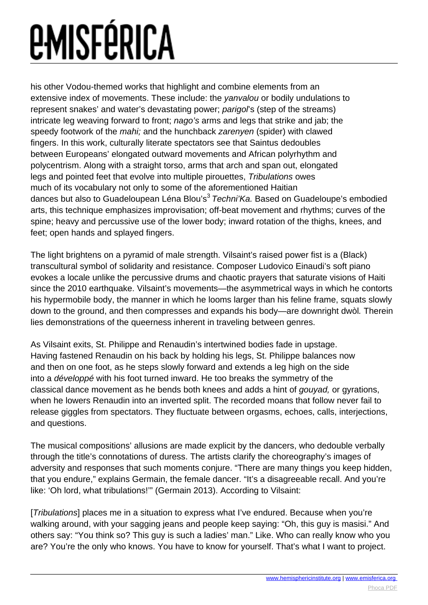his other Vodou-themed works that highlight and combine elements from an extensive index of movements. These include: the *yanvalou* or bodily undulations to represent snakes' and water's devastating power; parigol's (step of the streams) intricate leg weaving forward to front; nago's arms and legs that strike and jab; the speedy footwork of the mahi; and the hunchback zarenyen (spider) with clawed fingers. In this work, culturally literate spectators see that Saintus dedoubles between Europeans' elongated outward movements and African polyrhythm and polycentrism. Along with a straight torso, arms that arch and span out, elongated legs and pointed feet that evolve into multiple pirouettes, Tribulations owes much of its vocabulary not only to some of the aforementioned Haitian dances but also to Guadeloupean Léna Blou's<sup>3</sup> Techni'Ka. Based on Guadeloupe's embodied arts, this technique emphasizes improvisation; off-beat movement and rhythms; curves of the spine; heavy and percussive use of the lower body; inward rotation of the thighs, knees, and feet; open hands and splayed fingers.

The light brightens on a pyramid of male strength. Vilsaint's raised power fist is a (Black) transcultural symbol of solidarity and resistance. Composer Ludovico Einaudi's soft piano evokes a locale unlike the percussive drums and chaotic prayers that saturate visions of Haiti since the 2010 earthquake. Vilsaint's movements—the asymmetrical ways in which he contorts his hypermobile body, the manner in which he looms larger than his feline frame, squats slowly down to the ground, and then compresses and expands his body—are downright dwòl. Therein lies demonstrations of the queerness inherent in traveling between genres.

As Vilsaint exits, St. Philippe and Renaudin's intertwined bodies fade in upstage. Having fastened Renaudin on his back by holding his legs, St. Philippe balances now and then on one foot, as he steps slowly forward and extends a leg high on the side into a développé with his foot turned inward. He too breaks the symmetry of the classical dance movement as he bends both knees and adds a hint of gouyad, or gyrations, when he lowers Renaudin into an inverted split. The recorded moans that follow never fail to release giggles from spectators. They fluctuate between orgasms, echoes, calls, interjections, and questions.

The musical compositions' allusions are made explicit by the dancers, who dedouble verbally through the title's connotations of duress. The artists clarify the choreography's images of adversity and responses that such moments conjure. "There are many things you keep hidden, that you endure," explains Germain, the female dancer. "It's a disagreeable recall. And you're like: 'Oh lord, what tribulations!'" (Germain 2013). According to Vilsaint:

[*Tribulations*] places me in a situation to express what I've endured. Because when you're walking around, with your sagging jeans and people keep saying: "Oh, this guy is masisi." And others say: "You think so? This guy is such a ladies' man." Like. Who can really know who you are? You're the only who knows. You have to know for yourself. That's what I want to project.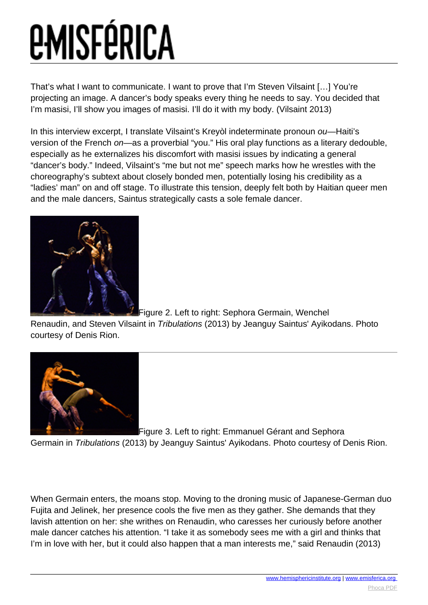That's what I want to communicate. I want to prove that I'm Steven Vilsaint […] You're projecting an image. A dancer's body speaks every thing he needs to say. You decided that I'm masisi, I'll show you images of masisi. I'll do it with my body. (Vilsaint 2013)

In this interview excerpt, I translate Vilsaint's Kreyòl indeterminate pronoun ou-Haiti's version of the French on—as a proverbial "you." His oral play functions as a literary dedouble, especially as he externalizes his discomfort with masisi issues by indicating a general "dancer's body." Indeed, Vilsaint's "me but not me" speech marks how he wrestles with the choreography's subtext about closely bonded men, potentially losing his credibility as a "ladies' man" on and off stage. To illustrate this tension, deeply felt both by Haitian queer men and the male dancers, Saintus strategically casts a sole female dancer.



[F](images/e-misferica/11.2_images/112_lg_lamothe_03.jpg)igure 2. Left to right: Sephora Germain, Wenchel

Renaudin, and Steven Vilsaint in Tribulations (2013) by Jeanguy Saintus' Ayikodans. Photo courtesy of Denis Rion.



[F](images/e-misferica/11.2_images/112_lg_lamothe_04.jpg)igure 3. Left to right: Emmanuel Gérant and Sephora

Germain in Tribulations (2013) by Jeanguy Saintus' Ayikodans. Photo courtesy of Denis Rion.

When Germain enters, the moans stop. Moving to the droning music of Japanese-German duo Fujita and Jelinek, her presence cools the five men as they gather. She demands that they lavish attention on her: she writhes on Renaudin, who caresses her curiously before another male dancer catches his attention. "I take it as somebody sees me with a girl and thinks that I'm in love with her, but it could also happen that a man interests me," said Renaudin (2013)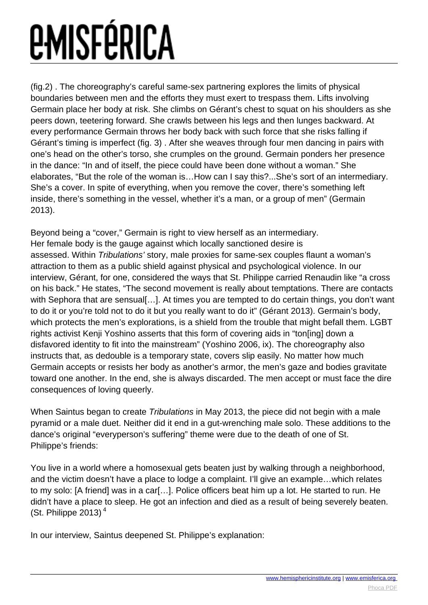(fig.2) . The choreography's careful same-sex partnering explores the limits of physical boundaries between men and the efforts they must exert to trespass them. Lifts involving Germain place her body at risk. She climbs on Gérant's chest to squat on his shoulders as she peers down, teetering forward. She crawls between his legs and then lunges backward. At every performance Germain throws her body back with such force that she risks falling if Gérant's timing is imperfect (fig. 3) . After she weaves through four men dancing in pairs with one's head on the other's torso, she crumples on the ground. Germain ponders her presence in the dance: "In and of itself, the piece could have been done without a woman." She elaborates, "But the role of the woman is…How can I say this?...She's sort of an intermediary. She's a cover. In spite of everything, when you remove the cover, there's something left inside, there's something in the vessel, whether it's a man, or a group of men" (Germain 2013).

Beyond being a "cover," Germain is right to view herself as an intermediary. Her female body is the gauge against which locally sanctioned desire is assessed. Within Tribulations' story, male proxies for same-sex couples flaunt a woman's attraction to them as a public shield against physical and psychological violence. In our interview, Gérant, for one, considered the ways that St. Philippe carried Renaudin like "a cross on his back." He states, "The second movement is really about temptations. There are contacts with Sephora that are sensual [...]. At times you are tempted to do certain things, you don't want to do it or you're told not to do it but you really want to do it" (Gérant 2013). Germain's body, which protects the men's explorations, is a shield from the trouble that might befall them. LGBT rights activist Kenji Yoshino asserts that this form of covering aids in "ton[ing] down a disfavored identity to fit into the mainstream" (Yoshino 2006, ix). The choreography also instructs that, as dedouble is a temporary state, covers slip easily. No matter how much Germain accepts or resists her body as another's armor, the men's gaze and bodies gravitate toward one another. In the end, she is always discarded. The men accept or must face the dire consequences of loving queerly.

When Saintus began to create Tribulations in May 2013, the piece did not begin with a male pyramid or a male duet. Neither did it end in a gut-wrenching male solo. These additions to the dance's original "everyperson's suffering" theme were due to the death of one of St. Philippe's friends:

You live in a world where a homosexual gets beaten just by walking through a neighborhood, and the victim doesn't have a place to lodge a complaint. I'll give an example…which relates to my solo: [A friend] was in a car[…]. Police officers beat him up a lot. He started to run. He didn't have a place to sleep. He got an infection and died as a result of being severely beaten. (St. Philippe 2013) $<sup>4</sup>$ </sup>

In our interview, Saintus deepened St. Philippe's explanation: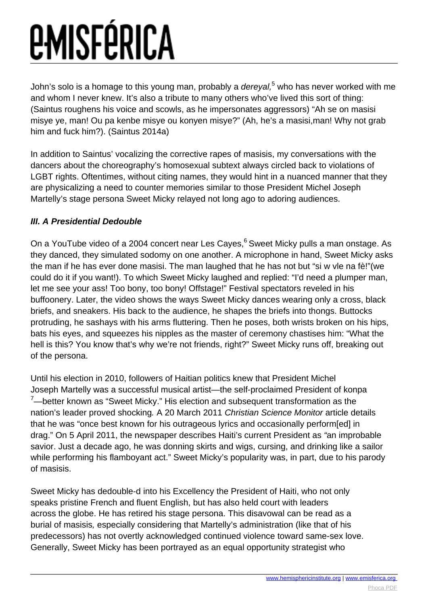John's solo is a homage to this young man, probably a *dereyal*,<sup>5</sup> who has never worked with me and whom I never knew. It's also a tribute to many others who've lived this sort of thing: (Saintus roughens his voice and scowls, as he impersonates aggressors) "Ah se on masisi misye ye, man! Ou pa kenbe misye ou konyen misye?" (Ah, he's a masisi,man! Why not grab him and fuck him?). (Saintus 2014a)

In addition to Saintus' vocalizing the corrective rapes of masisis, my conversations with the dancers about the choreography's homosexual subtext always circled back to violations of LGBT rights. Oftentimes, without citing names, they would hint in a nuanced manner that they are physicalizing a need to counter memories similar to those President Michel Joseph Martelly's stage persona Sweet Micky relayed not long ago to adoring audiences.

#### **III. A Presidential Dedouble**

On a YouTube video of a 2004 concert near Les Cayes,<sup>6</sup> Sweet Micky pulls a man onstage. As they danced, they simulated sodomy on one another. A microphone in hand, Sweet Micky asks the man if he has ever done masisi. The man laughed that he has not but "si w vle na fè!"(we could do it if you want!). To which Sweet Micky laughed and replied: "I'd need a plumper man, let me see your ass! Too bony, too bony! Offstage!" Festival spectators reveled in his buffoonery. Later, the video shows the ways Sweet Micky dances wearing only a cross, black briefs, and sneakers. His back to the audience, he shapes the briefs into thongs. Buttocks protruding, he sashays with his arms fluttering. Then he poses, both wrists broken on his hips, bats his eyes, and squeezes his nipples as the master of ceremony chastises him: "What the hell is this? You know that's why we're not friends, right?" Sweet Micky runs off, breaking out of the persona.

Until his election in 2010, followers of Haitian politics knew that President Michel Joseph Martelly was a successful musical artist—the self-proclaimed President of konpa  $7$ —better known as "Sweet Micky." His election and subsequent transformation as the nation's leader proved shocking. A 20 March 2011 Christian Science Monitor article details that he was "once best known for his outrageous lyrics and occasionally perform[ed] in drag." On 5 April 2011, the newspaper describes Haiti's current President as "an improbable savior. Just a decade ago, he was donning skirts and wigs, cursing, and drinking like a sailor while performing his flamboyant act." Sweet Micky's popularity was, in part, due to his parody of masisis.

Sweet Micky has dedouble-d into his Excellency the President of Haiti, who not only speaks pristine French and fluent English, but has also held court with leaders across the globe. He has retired his stage persona. This disavowal can be read as a burial of masisis, especially considering that Martelly's administration (like that of his predecessors) has not overtly acknowledged continued violence toward same-sex love. Generally, Sweet Micky has been portrayed as an equal opportunity strategist who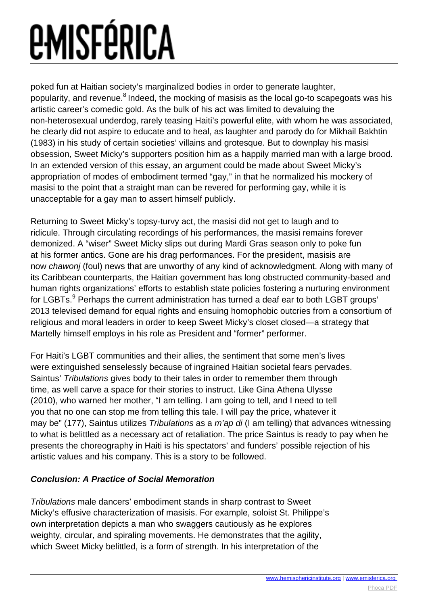poked fun at Haitian society's marginalized bodies in order to generate laughter, popularity, and revenue. $8$  Indeed, the mocking of masisis as the local go-to scapegoats was his artistic career's comedic gold. As the bulk of his act was limited to devaluing the non-heterosexual underdog, rarely teasing Haiti's powerful elite, with whom he was associated, he clearly did not aspire to educate and to heal, as laughter and parody do for Mikhail Bakhtin (1983) in his study of certain societies' villains and grotesque. But to downplay his masisi obsession, Sweet Micky's supporters position him as a happily married man with a large brood. In an extended version of this essay, an argument could be made about Sweet Micky's appropriation of modes of embodiment termed "gay," in that he normalized his mockery of masisi to the point that a straight man can be revered for performing gay, while it is unacceptable for a gay man to assert himself publicly.

Returning to Sweet Micky's topsy-turvy act, the masisi did not get to laugh and to ridicule. Through circulating recordings of his performances, the masisi remains forever demonized. A "wiser" Sweet Micky slips out during Mardi Gras season only to poke fun at his former antics. Gone are his drag performances. For the president, masisis are now chawonj (foul) news that are unworthy of any kind of acknowledgment. Along with many of its Caribbean counterparts, the Haitian government has long obstructed community-based and human rights organizations' efforts to establish state policies fostering a nurturing environment for LGBTs.<sup>9</sup> Perhaps the current administration has turned a deaf ear to both LGBT groups' 2013 televised demand for equal rights and ensuing homophobic outcries from a consortium of religious and moral leaders in order to keep Sweet Micky's closet closed—a strategy that Martelly himself employs in his role as President and "former" performer.

For Haiti's LGBT communities and their allies, the sentiment that some men's lives were extinguished senselessly because of ingrained Haitian societal fears pervades. Saintus' Tribulations gives body to their tales in order to remember them through time, as well carve a space for their stories to instruct. Like Gina Athena Ulysse (2010), who warned her mother, "I am telling. I am going to tell, and I need to tell you that no one can stop me from telling this tale. I will pay the price, whatever it may be" (177), Saintus utilizes Tribulations as a m'ap di (I am telling) that advances witnessing to what is belittled as a necessary act of retaliation. The price Saintus is ready to pay when he presents the choreography in Haiti is his spectators' and funders' possible rejection of his artistic values and his company. This is a story to be followed.

#### **Conclusion: A Practice of Social Memoration**

Tribulations male dancers' embodiment stands in sharp contrast to Sweet Micky's effusive characterization of masisis. For example, soloist St. Philippe's own interpretation depicts a man who swaggers cautiously as he explores weighty, circular, and spiraling movements. He demonstrates that the agility, which Sweet Micky belittled, is a form of strength. In his interpretation of the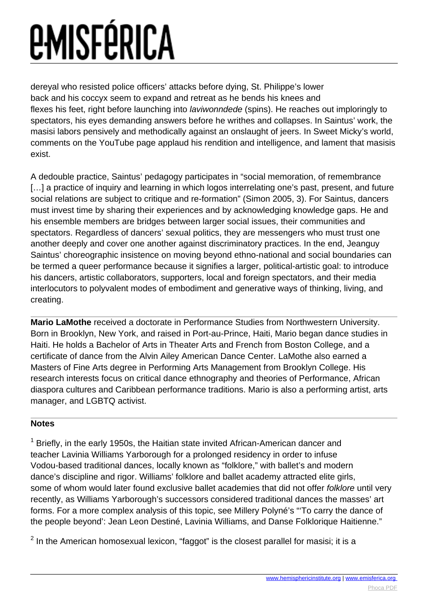dereyal who resisted police officers' attacks before dying, St. Philippe's lower back and his coccyx seem to expand and retreat as he bends his knees and flexes his feet, right before launching into laviwonndede (spins). He reaches out imploringly to spectators, his eyes demanding answers before he writhes and collapses. In Saintus' work, the masisi labors pensively and methodically against an onslaught of jeers. In Sweet Micky's world, comments on the YouTube page applaud his rendition and intelligence, and lament that masisis exist.

A dedouble practice, Saintus' pedagogy participates in "social memoration, of remembrance [...] a practice of inquiry and learning in which logos interrelating one's past, present, and future social relations are subject to critique and re-formation" (Simon 2005, 3). For Saintus, dancers must invest time by sharing their experiences and by acknowledging knowledge gaps. He and his ensemble members are bridges between larger social issues, their communities and spectators. Regardless of dancers' sexual politics, they are messengers who must trust one another deeply and cover one another against discriminatory practices. In the end, Jeanguy Saintus' choreographic insistence on moving beyond ethno-national and social boundaries can be termed a queer performance because it signifies a larger, political-artistic goal: to introduce his dancers, artistic collaborators, supporters, local and foreign spectators, and their media interlocutors to polyvalent modes of embodiment and generative ways of thinking, living, and creating.

**Mario LaMothe** received a doctorate in Performance Studies from Northwestern University. Born in Brooklyn, New York, and raised in Port-au-Prince, Haiti, Mario began dance studies in Haiti. He holds a Bachelor of Arts in Theater Arts and French from Boston College, and a certificate of dance from the Alvin Ailey American Dance Center. LaMothe also earned a Masters of Fine Arts degree in Performing Arts Management from Brooklyn College. His research interests focus on critical dance ethnography and theories of Performance, African diaspora cultures and Caribbean performance traditions. Mario is also a performing artist, arts manager, and LGBTQ activist.

#### **Notes**

 $1$  Briefly, in the early 1950s, the Haitian state invited African-American dancer and teacher Lavinia Williams Yarborough for a prolonged residency in order to infuse Vodou-based traditional dances, locally known as "folklore," with ballet's and modern dance's discipline and rigor. Williams' folklore and ballet academy attracted elite girls, some of whom would later found exclusive ballet academies that did not offer folklore until very recently, as Williams Yarborough's successors considered traditional dances the masses' art forms. For a more complex analysis of this topic, see Millery Polyné's "'To carry the dance of the people beyond': Jean Leon Destiné, Lavinia Williams, and Danse Folklorique Haitienne."

 $2$  In the American homosexual lexicon, "faggot" is the closest parallel for masisi; it is a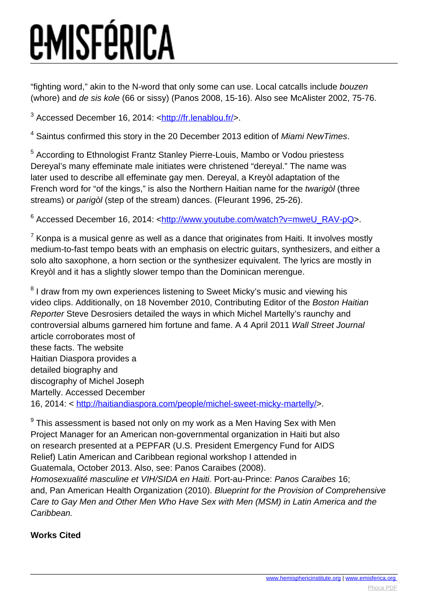"fighting word," akin to the N-word that only some can use. Local catcalls include bouzen (whore) and de sis kole (66 or sissy) (Panos 2008, 15-16). Also see McAlister 2002, 75-76.

<sup>3</sup> Accessed December 16, 2014: <<u>http://fr.lenablou.fr/</u>>.

<sup>4</sup> Saintus confirmed this story in the 20 December 2013 edition of Miami NewTimes.

<sup>5</sup> According to Ethnologist Frantz Stanley Pierre-Louis, Mambo or Vodou priestess Dereyal's many effeminate male initiates were christened "dereyal." The name was later used to describe all effeminate gay men. Dereyal, a Kreyòl adaptation of the French word for "of the kings," is also the Northern Haitian name for the twarigòl (three streams) or parigòl (step of the stream) dances. (Fleurant 1996, 25-26).

<sup>6</sup> Accessed December 16, 2014: <[http://www.youtube.com/watch?v=mweU\\_RAV-pQ](http://www.youtube.com/watch?v=mweU_RAV-pQ)>.

 $\mathrm{^{7}}$  Konpa is a musical genre as well as a dance that originates from Haiti. It involves mostly medium-to-fast tempo beats with an emphasis on electric guitars, synthesizers, and either a solo alto saxophone, a horn section or the synthesizer equivalent. The lyrics are mostly in Kreyòl and it has a slightly slower tempo than the Dominican merengue.

 $8$  I draw from my own experiences listening to Sweet Micky's music and viewing his video clips. Additionally, on 18 November 2010, Contributing Editor of the Boston Haitian Reporter Steve Desrosiers detailed the ways in which Michel Martelly's raunchy and controversial albums garnered him fortune and fame. A 4 April 2011 Wall Street Journal article corroborates most of these facts. The website Haitian Diaspora provides a detailed biography and discography of Michel Joseph Martelly. Accessed December 16, 2014: <<http://haitiandiaspora.com/people/michel-sweet-micky-martelly/>>.

 $^9$  This assessment is based not only on my work as a Men Having Sex with Men Project Manager for an American non-governmental organization in Haiti but also on research presented at a PEPFAR (U.S. President Emergency Fund for AIDS Relief) Latin American and Caribbean regional workshop I attended in Guatemala, October 2013. Also, see: Panos Caraibes (2008).

Homosexualité masculine et VIH/SIDA en Haiti. Port-au-Prince: Panos Caraibes 16; and, Pan American Health Organization (2010). Blueprint for the Provision of Comprehensive Care to Gay Men and Other Men Who Have Sex with Men (MSM) in Latin America and the Caribbean.

#### **Works Cited**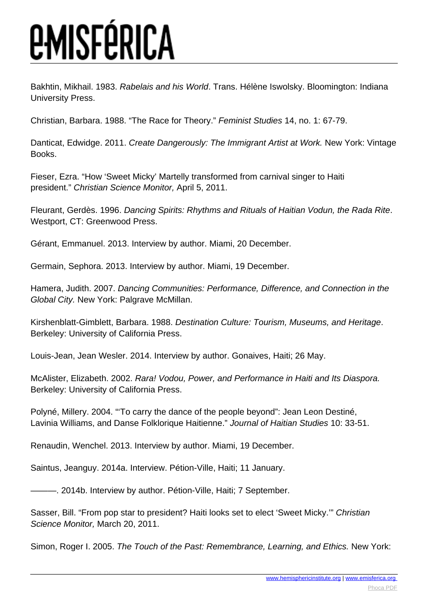Bakhtin, Mikhail. 1983. Rabelais and his World. Trans. Hélène Iswolsky. Bloomington: Indiana University Press.

Christian, Barbara. 1988. "The Race for Theory." Feminist Studies 14, no. 1: 67-79.

Danticat, Edwidge. 2011. Create Dangerously: The Immigrant Artist at Work. New York: Vintage Books.

Fieser, Ezra. "How 'Sweet Micky' Martelly transformed from carnival singer to Haiti president." Christian Science Monitor, April 5, 2011.

Fleurant, Gerdès. 1996. Dancing Spirits: Rhythms and Rituals of Haitian Vodun, the Rada Rite. Westport, CT: Greenwood Press.

Gérant, Emmanuel. 2013. Interview by author. Miami, 20 December.

Germain, Sephora. 2013. Interview by author. Miami, 19 December.

Hamera, Judith. 2007. Dancing Communities: Performance, Difference, and Connection in the Global City. New York: Palgrave McMillan.

Kirshenblatt-Gimblett, Barbara. 1988. Destination Culture: Tourism, Museums, and Heritage. Berkeley: University of California Press.

Louis-Jean, Jean Wesler. 2014. Interview by author. Gonaives, Haiti; 26 May.

McAlister, Elizabeth. 2002. Rara! Vodou, Power, and Performance in Haiti and Its Diaspora. Berkeley: University of California Press.

Polyné, Millery. 2004. "'To carry the dance of the people beyond": Jean Leon Destiné, Lavinia Williams, and Danse Folklorique Haitienne." Journal of Haitian Studies 10: 33-51.

Renaudin, Wenchel. 2013. Interview by author. Miami, 19 December.

Saintus, Jeanguy. 2014a. Interview. Pétion-Ville, Haiti; 11 January.

- 2014b. Interview by author. Pétion-Ville, Haiti; 7 September.

Sasser, Bill. "From pop star to president? Haiti looks set to elect 'Sweet Micky.'" Christian Science Monitor, March 20, 2011.

Simon, Roger I. 2005. The Touch of the Past: Remembrance, Learning, and Ethics. New York: